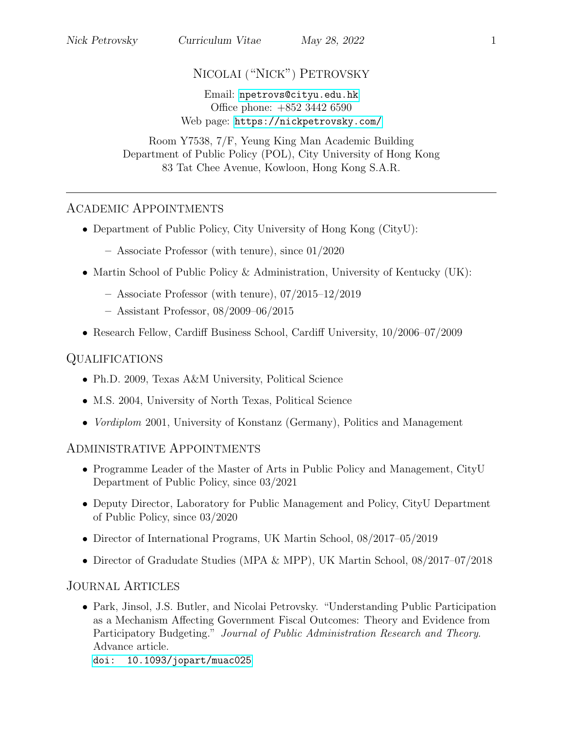# NICOLAI ("NICK") PETROVSKY

#### Email: [npetrovs@cityu.edu.hk](mailto:npetrovs@cityu.edu.hk) Office phone: +852 3442 6590 Web page: <https://nickpetrovsky.com/>

Room Y7538, 7/F, Yeung King Man Academic Building Department of Public Policy (POL), City University of Hong Kong 83 Tat Chee Avenue, Kowloon, Hong Kong S.A.R.

### ACADEMIC APPOINTMENTS

- Department of Public Policy, City University of Hong Kong (CityU):
	- Associate Professor (with tenure), since 01/2020
- Martin School of Public Policy & Administration, University of Kentucky (UK):
	- Associate Professor (with tenure), 07/2015–12/2019
	- Assistant Professor, 08/2009–06/2015
- Research Fellow, Cardiff Business School, Cardiff University, 10/2006–07/2009

# QUALIFICATIONS

- Ph.D. 2009, Texas A&M University, Political Science
- M.S. 2004, University of North Texas, Political Science
- *Vordiplom* 2001, University of Konstanz (Germany), Politics and Management

# ADMINISTRATIVE APPOINTMENTS

- Programme Leader of the Master of Arts in Public Policy and Management, CityU Department of Public Policy, since 03/2021
- Deputy Director, Laboratory for Public Management and Policy, CityU Department of Public Policy, since 03/2020
- Director of International Programs, UK Martin School, 08/2017–05/2019
- Director of Gradudate Studies (MPA & MPP), UK Martin School, 08/2017–07/2018

# JOURNAL ARTICLES

• Park, Jinsol, J.S. Butler, and Nicolai Petrovsky. "Understanding Public Participation as a Mechanism Affecting Government Fiscal Outcomes: Theory and Evidence from Participatory Budgeting." Journal of Public Administration Research and Theory. Advance article.

[doi: 10.1093/jopart/muac025](https://doi.org/10.1093/jopart/muac025)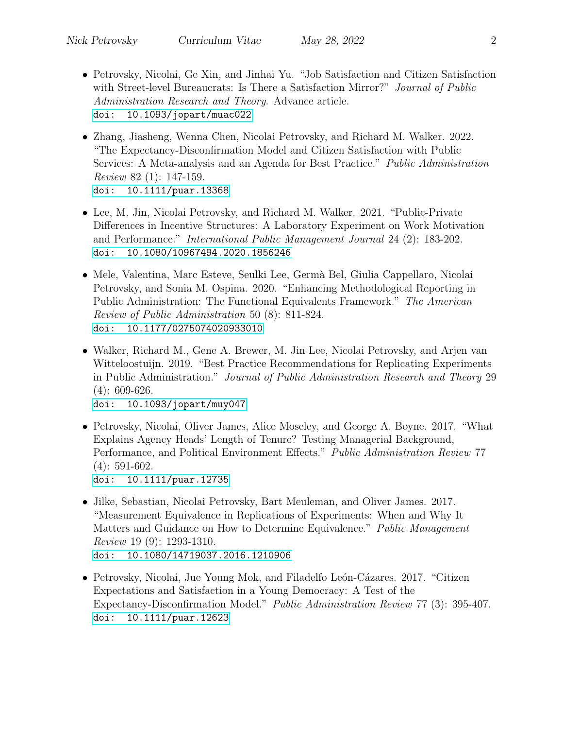- Petrovsky, Nicolai, Ge Xin, and Jinhai Yu. "Job Satisfaction and Citizen Satisfaction with Street-level Bureaucrats: Is There a Satisfaction Mirror?" Journal of Public Administration Research and Theory. Advance article. [doi: 10.1093/jopart/muac022](https://doi.org/10.1093/jopart/muac022)
- Zhang, Jiasheng, Wenna Chen, Nicolai Petrovsky, and Richard M. Walker. 2022. "The Expectancy-Disconfirmation Model and Citizen Satisfaction with Public Services: A Meta-analysis and an Agenda for Best Practice." Public Administration Review 82 (1): 147-159. [doi: 10.1111/puar.13368](https://doi.org/10.1111/puar.13368)
- Lee, M. Jin, Nicolai Petrovsky, and Richard M. Walker. 2021. "Public-Private Differences in Incentive Structures: A Laboratory Experiment on Work Motivation and Performance." International Public Management Journal 24 (2): 183-202. [doi: 10.1080/10967494.2020.1856246](https://doi.org/10.1080/10967494.2020.1856246)
- Mele, Valentina, Marc Esteve, Seulki Lee, Germà Bel, Giulia Cappellaro, Nicolai Petrovsky, and Sonia M. Ospina. 2020. "Enhancing Methodological Reporting in Public Administration: The Functional Equivalents Framework." The American Review of Public Administration 50 (8): 811-824. [doi: 10.1177/0275074020933010](https://doi.org/10.1177/0275074020933010)
- Walker, Richard M., Gene A. Brewer, M. Jin Lee, Nicolai Petrovsky, and Arjen van Witteloostuijn. 2019. "Best Practice Recommendations for Replicating Experiments in Public Administration." Journal of Public Administration Research and Theory 29 (4): 609-626. [doi: 10.1093/jopart/muy047](https://doi.org/10.1093/jopart/muy047)
- Petrovsky, Nicolai, Oliver James, Alice Moseley, and George A. Boyne. 2017. "What Explains Agency Heads' Length of Tenure? Testing Managerial Background, Performance, and Political Environment Effects." Public Administration Review 77 (4): 591-602. [doi: 10.1111/puar.12735](https://dx.doi.org/10.1111/puar.12735)
- Jilke, Sebastian, Nicolai Petrovsky, Bart Meuleman, and Oliver James. 2017. "Measurement Equivalence in Replications of Experiments: When and Why It Matters and Guidance on How to Determine Equivalence." Public Management Review 19 (9): 1293-1310. [doi: 10.1080/14719037.2016.1210906](https://dx.doi.org/10.1080/14719037.2016.1210906)
- Petrovsky, Nicolai, Jue Young Mok, and Filadelfo León-Cázares. 2017. "Citizen Expectations and Satisfaction in a Young Democracy: A Test of the Expectancy-Disconfirmation Model." Public Administration Review 77 (3): 395-407. [doi: 10.1111/puar.12623](https://dx.doi.org/10.1111/puar.12623)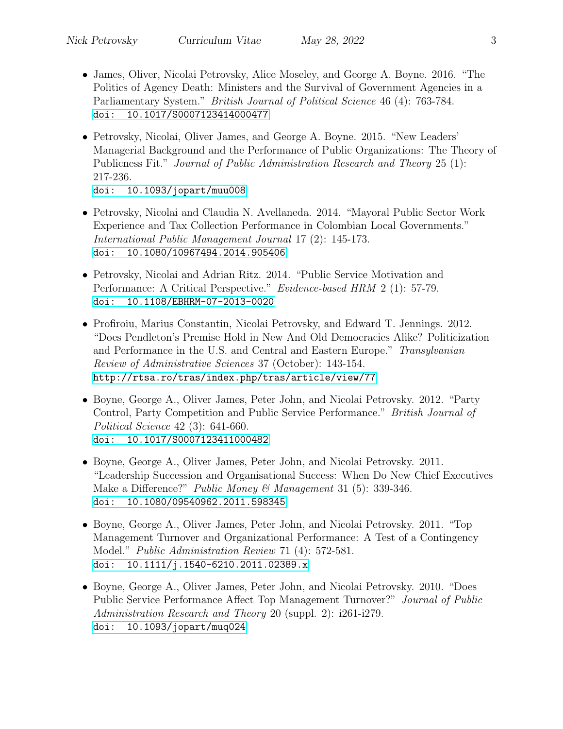- James, Oliver, Nicolai Petrovsky, Alice Moseley, and George A. Boyne. 2016. "The Politics of Agency Death: Ministers and the Survival of Government Agencies in a Parliamentary System." *British Journal of Political Science* 46 (4): 763-784. [doi: 10.1017/S0007123414000477](https://dx.doi.org/10.1017/S0007123414000477)
- Petrovsky, Nicolai, Oliver James, and George A. Boyne. 2015. "New Leaders' Managerial Background and the Performance of Public Organizations: The Theory of Publicness Fit." Journal of Public Administration Research and Theory 25 (1): 217-236. [doi: 10.1093/jopart/muu008](https://dx.doi.org/10.1093/jopart/muu008)
- Petrovsky, Nicolai and Claudia N. Avellaneda. 2014. "Mayoral Public Sector Work Experience and Tax Collection Performance in Colombian Local Governments." International Public Management Journal 17 (2): 145-173. [doi: 10.1080/10967494.2014.905406](https://dx.doi.org/10.1080/10967494.2014.905406)
- Petrovsky, Nicolai and Adrian Ritz. 2014. "Public Service Motivation and Performance: A Critical Perspective." Evidence-based HRM 2 (1): 57-79. [doi: 10.1108/EBHRM-07-2013-0020](https://dx.doi.org/10.1108/EBHRM-07-2013-0020)
- Profiroiu, Marius Constantin, Nicolai Petrovsky, and Edward T. Jennings. 2012. "Does Pendleton's Premise Hold in New And Old Democracies Alike? Politicization and Performance in the U.S. and Central and Eastern Europe." Transylvanian Review of Administrative Sciences 37 (October): 143-154. <http://rtsa.ro/tras/index.php/tras/article/view/77>
- Boyne, George A., Oliver James, Peter John, and Nicolai Petrovsky. 2012. "Party Control, Party Competition and Public Service Performance." British Journal of Political Science 42 (3): 641-660. [doi: 10.1017/S0007123411000482](https://dx.doi.org/10.1017/S0007123411000482)
- Boyne, George A., Oliver James, Peter John, and Nicolai Petrovsky. 2011. "Leadership Succession and Organisational Success: When Do New Chief Executives Make a Difference?" Public Money & Management 31 (5): 339-346. [doi: 10.1080/09540962.2011.598345](https://dx.doi.org/10.1080/09540962.2011.598345)
- Boyne, George A., Oliver James, Peter John, and Nicolai Petrovsky. 2011. "Top Management Turnover and Organizational Performance: A Test of a Contingency Model." Public Administration Review 71 (4): 572-581. [doi: 10.1111/j.1540-6210.2011.02389.x](https://dx.doi.org/10.1111/j.1540-6210.2011.02389.x)
- Boyne, George A., Oliver James, Peter John, and Nicolai Petrovsky. 2010. "Does Public Service Performance Affect Top Management Turnover?" Journal of Public Administration Research and Theory 20 (suppl. 2): i261-i279. [doi: 10.1093/jopart/muq024](https://dx.doi.org/10.1093/jopart/muq024)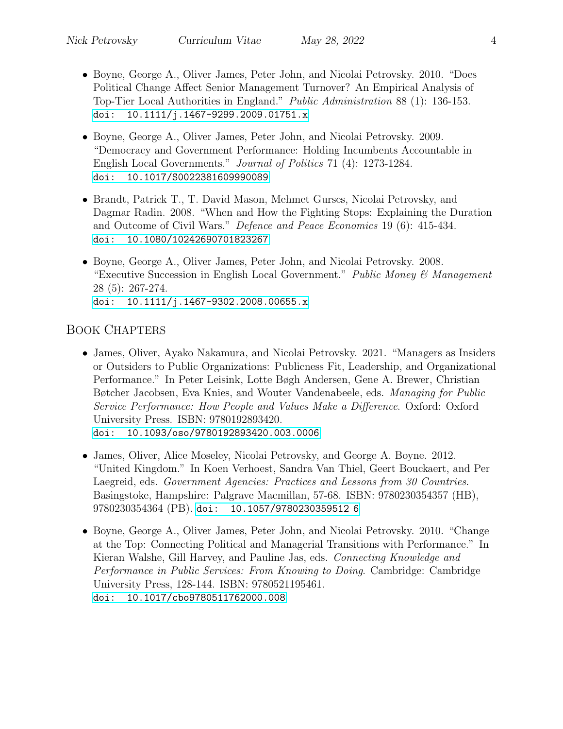- Boyne, George A., Oliver James, Peter John, and Nicolai Petrovsky. 2010. "Does Political Change Affect Senior Management Turnover? An Empirical Analysis of Top-Tier Local Authorities in England." Public Administration 88 (1): 136-153. [doi: 10.1111/j.1467-9299.2009.01751.x](https://dx.doi.org/10.1111/j.1467-9299.2009.01751.x)
- Boyne, George A., Oliver James, Peter John, and Nicolai Petrovsky. 2009. "Democracy and Government Performance: Holding Incumbents Accountable in English Local Governments." Journal of Politics 71 (4): 1273-1284. [doi: 10.1017/S0022381609990089](https://dx.doi.org/10.1017/S0022381609990089)
- Brandt, Patrick T., T. David Mason, Mehmet Gurses, Nicolai Petrovsky, and Dagmar Radin. 2008. "When and How the Fighting Stops: Explaining the Duration and Outcome of Civil Wars." Defence and Peace Economics 19 (6): 415-434. [doi: 10.1080/10242690701823267](https://dx.doi.org/10.1080/10242690701823267)
- Boyne, George A., Oliver James, Peter John, and Nicolai Petrovsky. 2008. "Executive Succession in English Local Government." Public Money  $\mathcal C$  Management 28 (5): 267-274. [doi: 10.1111/j.1467-9302.2008.00655.x](https://dx.doi.org/10.1111/j.1467-9302.2008.00655.x)

# BOOK CHAPTERS

- James, Oliver, Ayako Nakamura, and Nicolai Petrovsky. 2021. "Managers as Insiders or Outsiders to Public Organizations: Publicness Fit, Leadership, and Organizational Performance." In Peter Leisink, Lotte Bøgh Andersen, Gene A. Brewer, Christian Bøtcher Jacobsen, Eva Knies, and Wouter Vandenabeele, eds. Managing for Public Service Performance: How People and Values Make a Difference. Oxford: Oxford University Press. ISBN: 9780192893420. [doi: 10.1093/oso/9780192893420.003.0006](https://www.doi.org/10.1093/oso/9780192893420.003.0006)
- James, Oliver, Alice Moseley, Nicolai Petrovsky, and George A. Boyne. 2012. "United Kingdom." In Koen Verhoest, Sandra Van Thiel, Geert Bouckaert, and Per Laegreid, eds. Government Agencies: Practices and Lessons from 30 Countries. Basingstoke, Hampshire: Palgrave Macmillan, 57-68. ISBN: 9780230354357 (HB), 9780230354364 (PB). [doi: 10.1057/9780230359512](https://dx.doi.org/10.1057/9780230359512_6) 6
- Boyne, George A., Oliver James, Peter John, and Nicolai Petrovsky. 2010. "Change at the Top: Connecting Political and Managerial Transitions with Performance." In Kieran Walshe, Gill Harvey, and Pauline Jas, eds. Connecting Knowledge and Performance in Public Services: From Knowing to Doing. Cambridge: Cambridge University Press, 128-144. ISBN: 9780521195461. [doi: 10.1017/cbo9780511762000.008](https://dx.doi.org/10.1017/cbo9780511762000.008)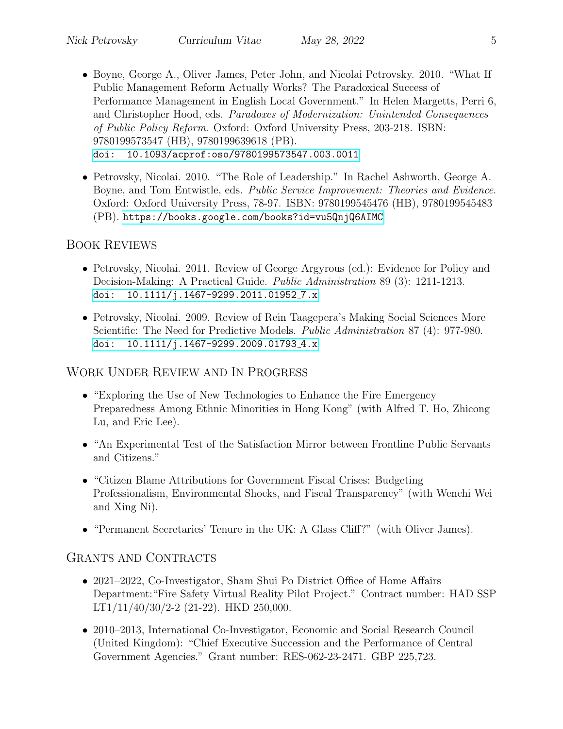- Boyne, George A., Oliver James, Peter John, and Nicolai Petrovsky. 2010. "What If Public Management Reform Actually Works? The Paradoxical Success of Performance Management in English Local Government." In Helen Margetts, Perri 6, and Christopher Hood, eds. Paradoxes of Modernization: Unintended Consequences of Public Policy Reform. Oxford: Oxford University Press, 203-218. ISBN: 9780199573547 (HB), 9780199639618 (PB). [doi: 10.1093/acprof:oso/9780199573547.003.0011](https://dx.doi.org/10.1093/acprof:oso/9780199573547.003.0011)
- Petrovsky, Nicolai. 2010. "The Role of Leadership." In Rachel Ashworth, George A. Boyne, and Tom Entwistle, eds. Public Service Improvement: Theories and Evidence. Oxford: Oxford University Press, 78-97. ISBN: 9780199545476 (HB), 9780199545483 (PB). <https://books.google.com/books?id=vu5QnjQ6AIMC>

### BOOK REVIEWS

- Petrovsky, Nicolai. 2011. Review of George Argyrous (ed.): Evidence for Policy and Decision-Making: A Practical Guide. Public Administration 89 (3): 1211-1213. [doi: 10.1111/j.1467-9299.2011.01952](https://dx.doi.org/10.1111/j.1467-9299.2011.01952_7.x) 7.x
- Petrovsky, Nicolai. 2009. Review of Rein Taagepera's Making Social Sciences More Scientific: The Need for Predictive Models. *Public Administration* 87 (4): 977-980. [doi: 10.1111/j.1467-9299.2009.01793](https://dx.doi.org/10.1111/j.1467-9299.2009.01793_4.x)<sub>-4.x</sub>

# WORK UNDER REVIEW AND IN PROGRESS

- "Exploring the Use of New Technologies to Enhance the Fire Emergency Preparedness Among Ethnic Minorities in Hong Kong" (with Alfred T. Ho, Zhicong Lu, and Eric Lee).
- "An Experimental Test of the Satisfaction Mirror between Frontline Public Servants and Citizens."
- "Citizen Blame Attributions for Government Fiscal Crises: Budgeting Professionalism, Environmental Shocks, and Fiscal Transparency" (with Wenchi Wei and Xing Ni).
- "Permanent Secretaries' Tenure in the UK: A Glass Cliff?" (with Oliver James).

#### GRANTS AND CONTRACTS

- 2021–2022, Co-Investigator, Sham Shui Po District Office of Home Affairs Department:"Fire Safety Virtual Reality Pilot Project." Contract number: HAD SSP LT1/11/40/30/2-2 (21-22). HKD 250,000.
- 2010–2013, International Co-Investigator, Economic and Social Research Council (United Kingdom): "Chief Executive Succession and the Performance of Central Government Agencies." Grant number: RES-062-23-2471. GBP 225,723.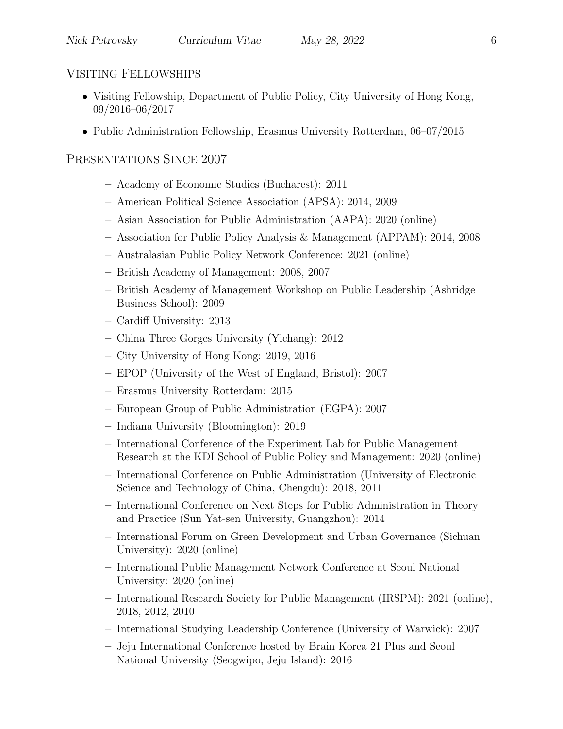#### VISITING FELLOWSHIPS

- Visiting Fellowship, Department of Public Policy, City University of Hong Kong, 09/2016–06/2017
- Public Administration Fellowship, Erasmus University Rotterdam, 06–07/2015

### PRESENTATIONS SINCE 2007

- Academy of Economic Studies (Bucharest): 2011
- American Political Science Association (APSA): 2014, 2009
- Asian Association for Public Administration (AAPA): 2020 (online)
- Association for Public Policy Analysis & Management (APPAM): 2014, 2008
- Australasian Public Policy Network Conference: 2021 (online)
- British Academy of Management: 2008, 2007
- British Academy of Management Workshop on Public Leadership (Ashridge Business School): 2009
- Cardiff University: 2013
- China Three Gorges University (Yichang): 2012
- City University of Hong Kong: 2019, 2016
- EPOP (University of the West of England, Bristol): 2007
- Erasmus University Rotterdam: 2015
- European Group of Public Administration (EGPA): 2007
- Indiana University (Bloomington): 2019
- International Conference of the Experiment Lab for Public Management Research at the KDI School of Public Policy and Management: 2020 (online)
- International Conference on Public Administration (University of Electronic Science and Technology of China, Chengdu): 2018, 2011
- International Conference on Next Steps for Public Administration in Theory and Practice (Sun Yat-sen University, Guangzhou): 2014
- International Forum on Green Development and Urban Governance (Sichuan University): 2020 (online)
- International Public Management Network Conference at Seoul National University: 2020 (online)
- International Research Society for Public Management (IRSPM): 2021 (online), 2018, 2012, 2010
- International Studying Leadership Conference (University of Warwick): 2007
- Jeju International Conference hosted by Brain Korea 21 Plus and Seoul National University (Seogwipo, Jeju Island): 2016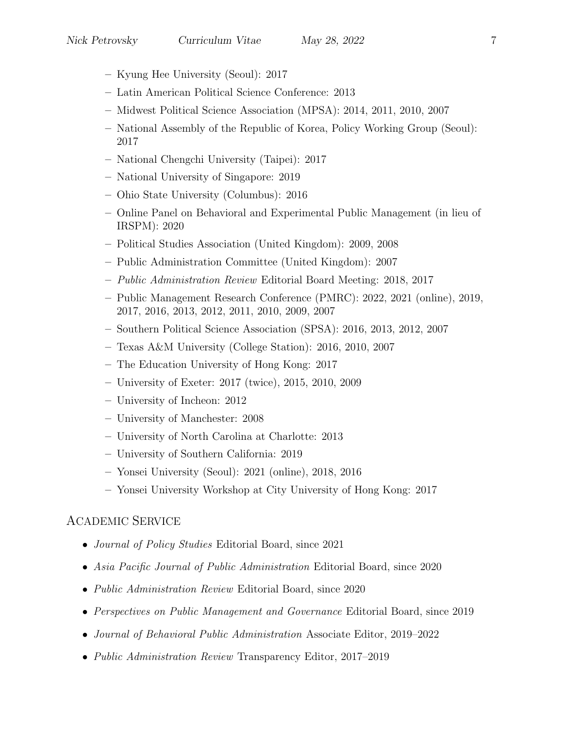- Kyung Hee University (Seoul): 2017
- Latin American Political Science Conference: 2013
- Midwest Political Science Association (MPSA): 2014, 2011, 2010, 2007
- National Assembly of the Republic of Korea, Policy Working Group (Seoul): 2017
- National Chengchi University (Taipei): 2017
- National University of Singapore: 2019
- Ohio State University (Columbus): 2016
- Online Panel on Behavioral and Experimental Public Management (in lieu of IRSPM): 2020
- Political Studies Association (United Kingdom): 2009, 2008
- Public Administration Committee (United Kingdom): 2007
- Public Administration Review Editorial Board Meeting: 2018, 2017
- Public Management Research Conference (PMRC): 2022, 2021 (online), 2019, 2017, 2016, 2013, 2012, 2011, 2010, 2009, 2007
- Southern Political Science Association (SPSA): 2016, 2013, 2012, 2007
- Texas A&M University (College Station): 2016, 2010, 2007
- The Education University of Hong Kong: 2017
- University of Exeter: 2017 (twice), 2015, 2010, 2009
- University of Incheon: 2012
- University of Manchester: 2008
- University of North Carolina at Charlotte: 2013
- University of Southern California: 2019
- Yonsei University (Seoul): 2021 (online), 2018, 2016
- Yonsei University Workshop at City University of Hong Kong: 2017

#### ACADEMIC SERVICE

- *Journal of Policy Studies* Editorial Board, since 2021
- Asia Pacific Journal of Public Administration Editorial Board, since 2020
- *Public Administration Review* Editorial Board, since 2020
- Perspectives on Public Management and Governance Editorial Board, since 2019
- Journal of Behavioral Public Administration Associate Editor, 2019–2022
- *Public Administration Review* Transparency Editor, 2017–2019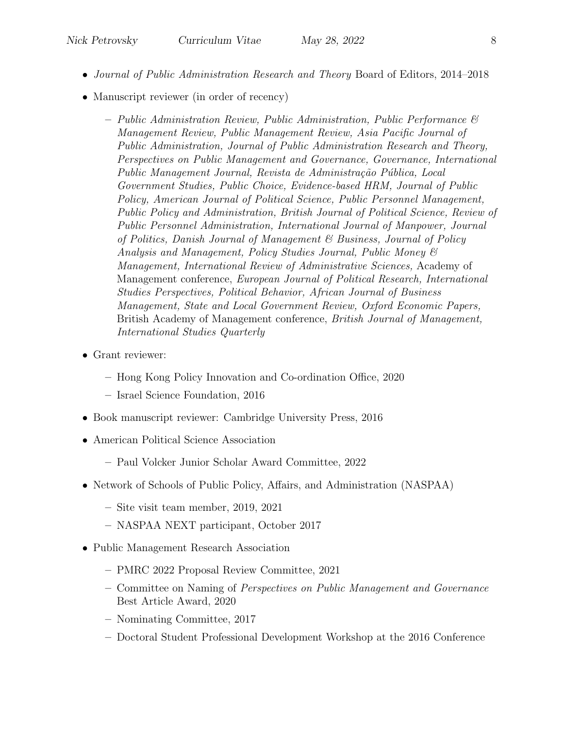- Journal of Public Administration Research and Theory Board of Editors, 2014–2018
- Manuscript reviewer (in order of recency)
	- $-$  Public Administration Review, Public Administration, Public Performance  $\mathcal{C}$ Management Review, Public Management Review, Asia Pacific Journal of Public Administration, Journal of Public Administration Research and Theory, Perspectives on Public Management and Governance, Governance, International Public Management Journal, Revista de Administração Pública, Local Government Studies, Public Choice, Evidence-based HRM, Journal of Public Policy, American Journal of Political Science, Public Personnel Management, Public Policy and Administration, British Journal of Political Science, Review of Public Personnel Administration, International Journal of Manpower, Journal of Politics, Danish Journal of Management & Business, Journal of Policy Analysis and Management, Policy Studies Journal, Public Money & Management, International Review of Administrative Sciences, Academy of Management conference, European Journal of Political Research, International Studies Perspectives, Political Behavior, African Journal of Business Management, State and Local Government Review, Oxford Economic Papers, British Academy of Management conference, British Journal of Management, International Studies Quarterly
- Grant reviewer:
	- Hong Kong Policy Innovation and Co-ordination Office, 2020
	- Israel Science Foundation, 2016
- Book manuscript reviewer: Cambridge University Press, 2016
- American Political Science Association
	- Paul Volcker Junior Scholar Award Committee, 2022
- Network of Schools of Public Policy, Affairs, and Administration (NASPAA)
	- Site visit team member, 2019, 2021
	- NASPAA NEXT participant, October 2017
- Public Management Research Association
	- PMRC 2022 Proposal Review Committee, 2021
	- Committee on Naming of Perspectives on Public Management and Governance Best Article Award, 2020
	- Nominating Committee, 2017
	- Doctoral Student Professional Development Workshop at the 2016 Conference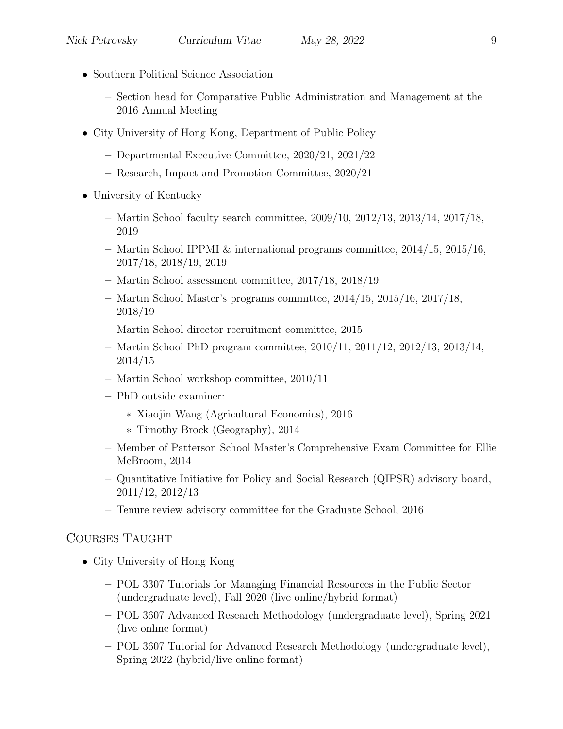- Southern Political Science Association
	- Section head for Comparative Public Administration and Management at the 2016 Annual Meeting
- City University of Hong Kong, Department of Public Policy
	- Departmental Executive Committee, 2020/21, 2021/22
	- Research, Impact and Promotion Committee, 2020/21
- University of Kentucky
	- Martin School faculty search committee, 2009/10, 2012/13, 2013/14, 2017/18, 2019
	- Martin School IPPMI & international programs committee, 2014/15, 2015/16, 2017/18, 2018/19, 2019
	- Martin School assessment committee, 2017/18, 2018/19
	- Martin School Master's programs committee, 2014/15, 2015/16, 2017/18, 2018/19
	- Martin School director recruitment committee, 2015
	- Martin School PhD program committee, 2010/11, 2011/12, 2012/13, 2013/14, 2014/15
	- Martin School workshop committee, 2010/11
	- PhD outside examiner:
		- ∗ Xiaojin Wang (Agricultural Economics), 2016
		- ∗ Timothy Brock (Geography), 2014
	- Member of Patterson School Master's Comprehensive Exam Committee for Ellie McBroom, 2014
	- Quantitative Initiative for Policy and Social Research (QIPSR) advisory board, 2011/12, 2012/13
	- Tenure review advisory committee for the Graduate School, 2016

#### COURSES TAUGHT

- City University of Hong Kong
	- POL 3307 Tutorials for Managing Financial Resources in the Public Sector (undergraduate level), Fall 2020 (live online/hybrid format)
	- POL 3607 Advanced Research Methodology (undergraduate level), Spring 2021 (live online format)
	- POL 3607 Tutorial for Advanced Research Methodology (undergraduate level), Spring 2022 (hybrid/live online format)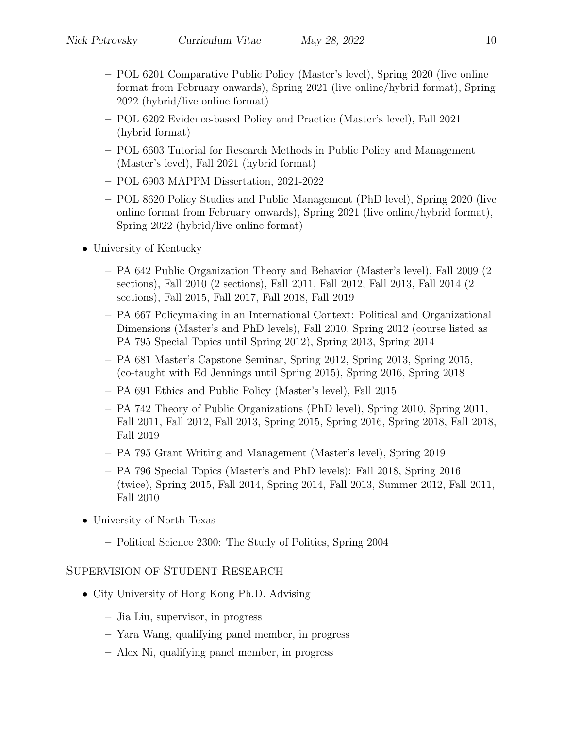- POL 6201 Comparative Public Policy (Master's level), Spring 2020 (live online format from February onwards), Spring 2021 (live online/hybrid format), Spring 2022 (hybrid/live online format)
- POL 6202 Evidence-based Policy and Practice (Master's level), Fall 2021 (hybrid format)
- POL 6603 Tutorial for Research Methods in Public Policy and Management (Master's level), Fall 2021 (hybrid format)
- POL 6903 MAPPM Dissertation, 2021-2022
- POL 8620 Policy Studies and Public Management (PhD level), Spring 2020 (live online format from February onwards), Spring 2021 (live online/hybrid format), Spring 2022 (hybrid/live online format)
- University of Kentucky
	- PA 642 Public Organization Theory and Behavior (Master's level), Fall 2009 (2 sections), Fall 2010 (2 sections), Fall 2011, Fall 2012, Fall 2013, Fall 2014 (2 sections), Fall 2015, Fall 2017, Fall 2018, Fall 2019
	- PA 667 Policymaking in an International Context: Political and Organizational Dimensions (Master's and PhD levels), Fall 2010, Spring 2012 (course listed as PA 795 Special Topics until Spring 2012), Spring 2013, Spring 2014
	- PA 681 Master's Capstone Seminar, Spring 2012, Spring 2013, Spring 2015, (co-taught with Ed Jennings until Spring 2015), Spring 2016, Spring 2018
	- PA 691 Ethics and Public Policy (Master's level), Fall 2015
	- PA 742 Theory of Public Organizations (PhD level), Spring 2010, Spring 2011, Fall 2011, Fall 2012, Fall 2013, Spring 2015, Spring 2016, Spring 2018, Fall 2018, Fall 2019
	- PA 795 Grant Writing and Management (Master's level), Spring 2019
	- PA 796 Special Topics (Master's and PhD levels): Fall 2018, Spring 2016 (twice), Spring 2015, Fall 2014, Spring 2014, Fall 2013, Summer 2012, Fall 2011, Fall 2010
- University of North Texas
	- Political Science 2300: The Study of Politics, Spring 2004

# SUPERVISION OF STUDENT RESEARCH

- City University of Hong Kong Ph.D. Advising
	- Jia Liu, supervisor, in progress
	- Yara Wang, qualifying panel member, in progress
	- Alex Ni, qualifying panel member, in progress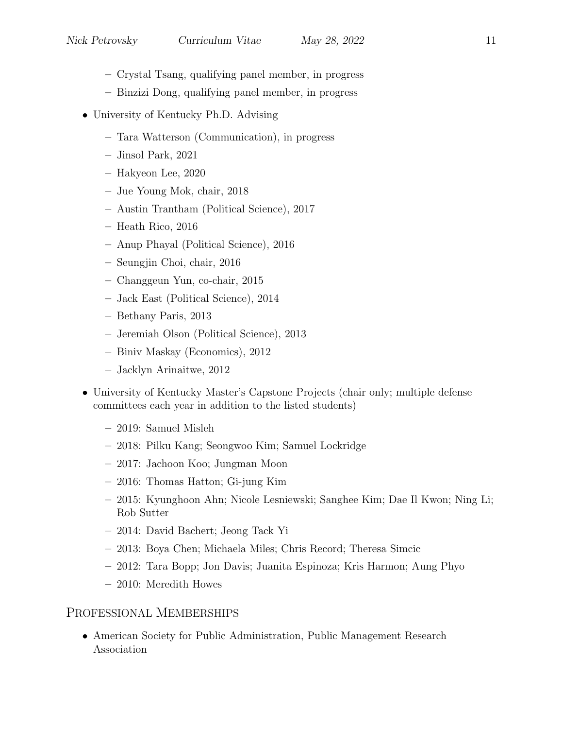- Crystal Tsang, qualifying panel member, in progress
- Binzizi Dong, qualifying panel member, in progress
- University of Kentucky Ph.D. Advising
	- Tara Watterson (Communication), in progress
	- Jinsol Park, 2021
	- Hakyeon Lee, 2020
	- Jue Young Mok, chair, 2018
	- Austin Trantham (Political Science), 2017
	- Heath Rico, 2016
	- Anup Phayal (Political Science), 2016
	- Seungjin Choi, chair, 2016
	- Changgeun Yun, co-chair, 2015
	- Jack East (Political Science), 2014
	- Bethany Paris, 2013
	- Jeremiah Olson (Political Science), 2013
	- Biniv Maskay (Economics), 2012
	- Jacklyn Arinaitwe, 2012
- University of Kentucky Master's Capstone Projects (chair only; multiple defense committees each year in addition to the listed students)
	- 2019: Samuel Misleh
	- 2018: Pilku Kang; Seongwoo Kim; Samuel Lockridge
	- 2017: Jachoon Koo; Jungman Moon
	- 2016: Thomas Hatton; Gi-jung Kim
	- 2015: Kyunghoon Ahn; Nicole Lesniewski; Sanghee Kim; Dae Il Kwon; Ning Li; Rob Sutter
	- 2014: David Bachert; Jeong Tack Yi
	- 2013: Boya Chen; Michaela Miles; Chris Record; Theresa Simcic
	- 2012: Tara Bopp; Jon Davis; Juanita Espinoza; Kris Harmon; Aung Phyo
	- 2010: Meredith Howes

# PROFESSIONAL MEMBERSHIPS

• American Society for Public Administration, Public Management Research Association